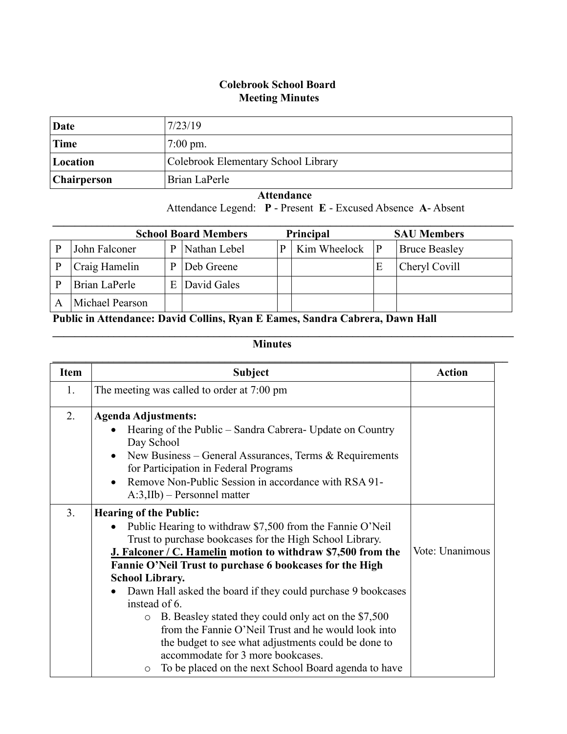## **Colebrook School Board Meeting Minutes**

| Date        | 7/23/19                             |
|-------------|-------------------------------------|
| Time        | $7:00 \text{ pm}$ .                 |
| Location    | Colebrook Elementary School Library |
| Chairperson | Brian LaPerle                       |

 **Attendance**

Attendance Legend: **P** - Present **E** - Excused Absence **A**- Absent

| <b>School Board Members</b><br><b>Principal</b><br><b>SAU Members</b> |   |              |   |              |   |                      |
|-----------------------------------------------------------------------|---|--------------|---|--------------|---|----------------------|
| John Falconer                                                         | D | Nathan Lebel | P | Kim Wheelock | P | <b>Bruce Beasley</b> |
| Craig Hamelin                                                         |   | Deb Greene   |   |              | E | Cheryl Covill        |
| Brian LaPerle                                                         |   | David Gales  |   |              |   |                      |
| Michael Pearson                                                       |   |              |   |              |   |                      |

**Public in Attendance: David Collins, Ryan E Eames, Sandra Cabrera, Dawn Hall**

## **Minutes**

 $\mathcal{L}_\mathcal{L} = \{ \mathcal{L}_\mathcal{L} = \{ \mathcal{L}_\mathcal{L} = \{ \mathcal{L}_\mathcal{L} = \{ \mathcal{L}_\mathcal{L} = \{ \mathcal{L}_\mathcal{L} = \{ \mathcal{L}_\mathcal{L} = \{ \mathcal{L}_\mathcal{L} = \{ \mathcal{L}_\mathcal{L} = \{ \mathcal{L}_\mathcal{L} = \{ \mathcal{L}_\mathcal{L} = \{ \mathcal{L}_\mathcal{L} = \{ \mathcal{L}_\mathcal{L} = \{ \mathcal{L}_\mathcal{L} = \{ \mathcal{L}_\mathcal{$ 

| <b>Item</b>    | <b>Subject</b>                                                                                                                                                                                                                                                             | <b>Action</b>   |
|----------------|----------------------------------------------------------------------------------------------------------------------------------------------------------------------------------------------------------------------------------------------------------------------------|-----------------|
| 1.             | The meeting was called to order at 7:00 pm                                                                                                                                                                                                                                 |                 |
| 2.             | <b>Agenda Adjustments:</b>                                                                                                                                                                                                                                                 |                 |
|                | Hearing of the Public – Sandra Cabrera- Update on Country<br>Day School                                                                                                                                                                                                    |                 |
|                | New Business – General Assurances, Terms $\&$ Requirements<br>for Participation in Federal Programs                                                                                                                                                                        |                 |
|                | Remove Non-Public Session in accordance with RSA 91-<br>$A:3,I1Ib$ – Personnel matter                                                                                                                                                                                      |                 |
| 3 <sub>1</sub> | <b>Hearing of the Public:</b>                                                                                                                                                                                                                                              |                 |
|                | Public Hearing to withdraw \$7,500 from the Fannie O'Neil<br>Trust to purchase bookcases for the High School Library.                                                                                                                                                      |                 |
|                | J. Falconer / C. Hamelin motion to withdraw \$7,500 from the                                                                                                                                                                                                               | Vote: Unanimous |
|                | Fannie O'Neil Trust to purchase 6 bookcases for the High                                                                                                                                                                                                                   |                 |
|                | <b>School Library.</b>                                                                                                                                                                                                                                                     |                 |
|                | Dawn Hall asked the board if they could purchase 9 bookcases                                                                                                                                                                                                               |                 |
|                | instead of 6.                                                                                                                                                                                                                                                              |                 |
|                | B. Beasley stated they could only act on the \$7,500<br>$\circ$<br>from the Fannie O'Neil Trust and he would look into<br>the budget to see what adjustments could be done to<br>accommodate for 3 more bookcases.<br>To be placed on the next School Board agenda to have |                 |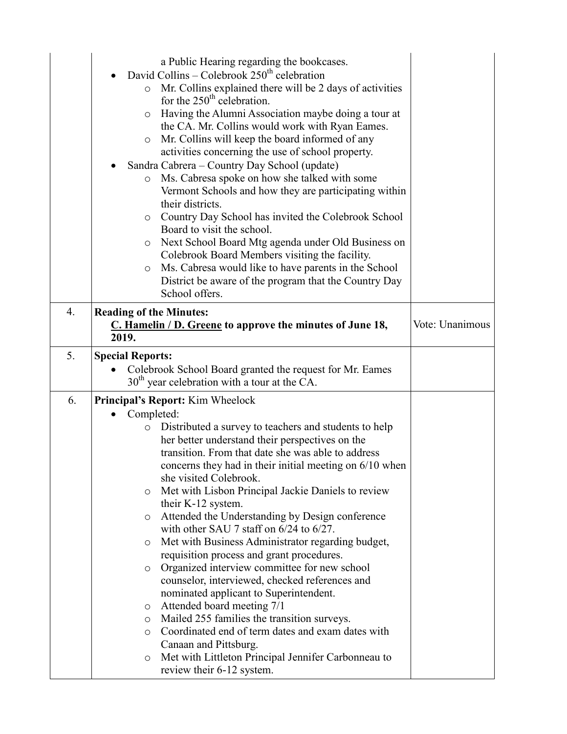|    | a Public Hearing regarding the bookcases.<br>David Collins – Colebrook $250th$ celebration<br>Mr. Collins explained there will be 2 days of activities<br>$\circ$<br>for the $250th$ celebration.<br>Having the Alumni Association maybe doing a tour at<br>$\circ$<br>the CA. Mr. Collins would work with Ryan Eames.<br>Mr. Collins will keep the board informed of any<br>$\circ$<br>activities concerning the use of school property.<br>Sandra Cabrera - Country Day School (update)<br>Ms. Cabresa spoke on how she talked with some<br>$\circ$<br>Vermont Schools and how they are participating within<br>their districts.<br>Country Day School has invited the Colebrook School<br>O<br>Board to visit the school.<br>Next School Board Mtg agenda under Old Business on<br>$\circ$<br>Colebrook Board Members visiting the facility.<br>Ms. Cabresa would like to have parents in the School<br>$\circ$<br>District be aware of the program that the Country Day<br>School offers.                                                                                                |                 |
|----|----------------------------------------------------------------------------------------------------------------------------------------------------------------------------------------------------------------------------------------------------------------------------------------------------------------------------------------------------------------------------------------------------------------------------------------------------------------------------------------------------------------------------------------------------------------------------------------------------------------------------------------------------------------------------------------------------------------------------------------------------------------------------------------------------------------------------------------------------------------------------------------------------------------------------------------------------------------------------------------------------------------------------------------------------------------------------------------------|-----------------|
| 4. | <b>Reading of the Minutes:</b><br>C. Hamelin / D. Greene to approve the minutes of June 18,<br>2019.                                                                                                                                                                                                                                                                                                                                                                                                                                                                                                                                                                                                                                                                                                                                                                                                                                                                                                                                                                                         | Vote: Unanimous |
| 5. | <b>Special Reports:</b><br>Colebrook School Board granted the request for Mr. Eames<br>$30th$ year celebration with a tour at the CA.                                                                                                                                                                                                                                                                                                                                                                                                                                                                                                                                                                                                                                                                                                                                                                                                                                                                                                                                                        |                 |
| 6. | <b>Principal's Report:</b> Kim Wheelock<br>Completed:<br>$\bullet$<br>Distributed a survey to teachers and students to help<br>$\circ$<br>her better understand their perspectives on the<br>transition. From that date she was able to address<br>concerns they had in their initial meeting on 6/10 when<br>she visited Colebrook.<br>Met with Lisbon Principal Jackie Daniels to review<br>$\circ$<br>their K-12 system.<br>Attended the Understanding by Design conference<br>O<br>with other SAU 7 staff on $6/24$ to $6/27$ .<br>Met with Business Administrator regarding budget,<br>$\circ$<br>requisition process and grant procedures.<br>Organized interview committee for new school<br>$\circ$<br>counselor, interviewed, checked references and<br>nominated applicant to Superintendent.<br>Attended board meeting 7/1<br>O<br>Mailed 255 families the transition surveys.<br>$\circ$<br>Coordinated end of term dates and exam dates with<br>$\circ$<br>Canaan and Pittsburg.<br>Met with Littleton Principal Jennifer Carbonneau to<br>$\circ$<br>review their 6-12 system. |                 |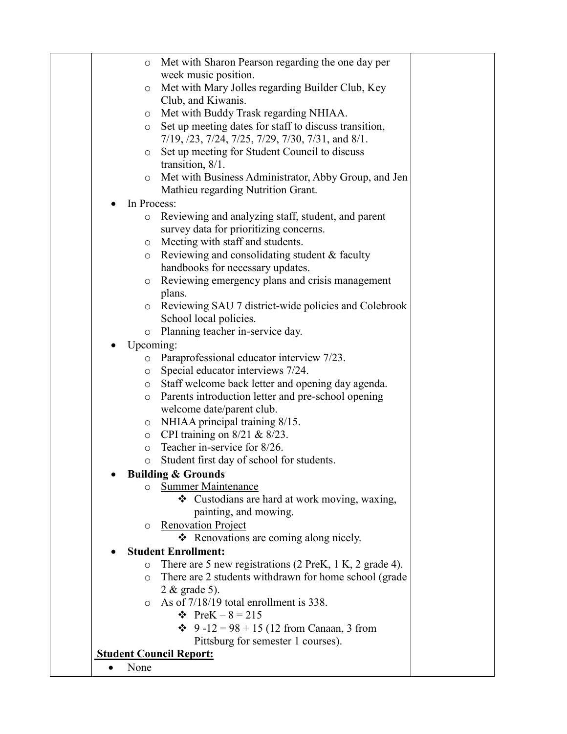| $\circ$                        | Met with Sharon Pearson regarding the one day per                             |  |
|--------------------------------|-------------------------------------------------------------------------------|--|
|                                | week music position.                                                          |  |
| $\circ$                        | Met with Mary Jolles regarding Builder Club, Key                              |  |
|                                | Club, and Kiwanis.                                                            |  |
| O                              | Met with Buddy Trask regarding NHIAA.                                         |  |
| $\circ$                        | Set up meeting dates for staff to discuss transition,                         |  |
|                                | 7/19, /23, 7/24, 7/25, 7/29, 7/30, 7/31, and 8/1.                             |  |
| $\circ$                        | Set up meeting for Student Council to discuss                                 |  |
| $\circ$                        | transition, $8/1$ .<br>Met with Business Administrator, Abby Group, and Jen   |  |
|                                | Mathieu regarding Nutrition Grant.                                            |  |
| In Process:                    |                                                                               |  |
| $\circ$                        | Reviewing and analyzing staff, student, and parent                            |  |
|                                | survey data for prioritizing concerns.                                        |  |
| $\circ$                        | Meeting with staff and students.                                              |  |
| $\circ$                        | Reviewing and consolidating student & faculty                                 |  |
|                                | handbooks for necessary updates.                                              |  |
| $\circ$                        | Reviewing emergency plans and crisis management                               |  |
|                                | plans.                                                                        |  |
| $\circ$                        | Reviewing SAU 7 district-wide policies and Colebrook                          |  |
|                                | School local policies.                                                        |  |
| $\circ$                        | Planning teacher in-service day.                                              |  |
| Upcoming:                      |                                                                               |  |
| $\circ$                        | Paraprofessional educator interview 7/23.                                     |  |
| $\circ$                        | Special educator interviews 7/24.                                             |  |
| $\circ$                        | Staff welcome back letter and opening day agenda.                             |  |
| $\circ$                        | Parents introduction letter and pre-school opening                            |  |
|                                | welcome date/parent club.                                                     |  |
| $\circ$                        | NHIAA principal training 8/15.                                                |  |
| $\circ$                        | CPI training on $8/21$ & $8/23$ .                                             |  |
| $\circ$                        | Teacher in-service for 8/26.                                                  |  |
| $\circ$                        | Student first day of school for students.                                     |  |
|                                | <b>Building &amp; Grounds</b>                                                 |  |
| O                              | <b>Summer Maintenance</b>                                                     |  |
|                                | $\triangleleft$ Custodians are hard at work moving, waxing,                   |  |
|                                | painting, and mowing.                                                         |  |
| $\circ$                        | <b>Renovation Project</b><br>$\triangle$ Renovations are coming along nicely. |  |
|                                | <b>Student Enrollment:</b>                                                    |  |
| O                              | There are 5 new registrations (2 PreK, 1 K, 2 grade 4).                       |  |
| $\circ$                        | There are 2 students withdrawn for home school (grade                         |  |
|                                | 2 & grade 5).                                                                 |  |
| $\circ$                        | As of 7/18/19 total enrollment is 338.                                        |  |
|                                | $\div$ PreK – 8 = 215                                                         |  |
|                                | $\div$ 9 -12 = 98 + 15 (12 from Canaan, 3 from                                |  |
|                                | Pittsburg for semester 1 courses).                                            |  |
| <b>Student Council Report:</b> |                                                                               |  |
| None<br>$\bullet$              |                                                                               |  |
|                                |                                                                               |  |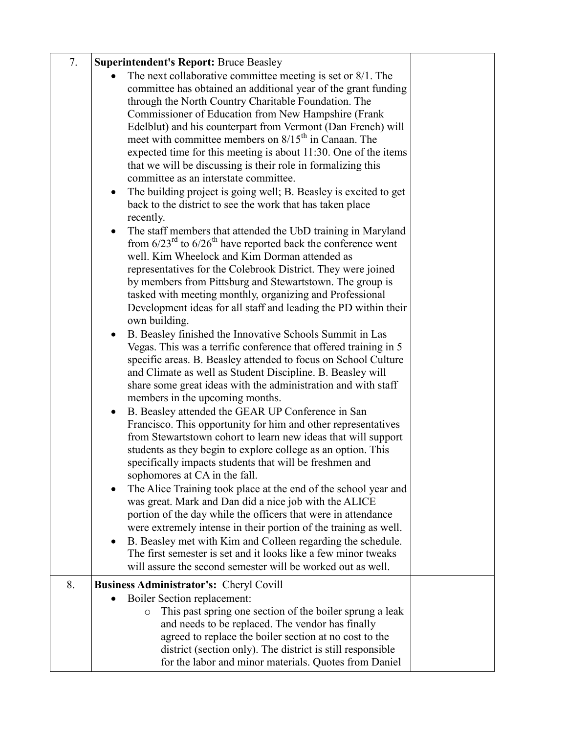| The next collaborative committee meeting is set or 8/1. The<br>committee has obtained an additional year of the grant funding<br>through the North Country Charitable Foundation. The<br>Commissioner of Education from New Hampshire (Frank<br>Edelblut) and his counterpart from Vermont (Dan French) will<br>meet with committee members on 8/15 <sup>th</sup> in Canaan. The<br>expected time for this meeting is about 11:30. One of the items<br>that we will be discussing is their role in formalizing this<br>committee as an interstate committee.<br>The building project is going well; B. Beasley is excited to get<br>$\bullet$<br>back to the district to see the work that has taken place<br>recently.<br>The staff members that attended the UbD training in Maryland<br>$\bullet$<br>from $6/23^{\text{rd}}$ to $6/26^{\text{th}}$ have reported back the conference went<br>well. Kim Wheelock and Kim Dorman attended as<br>representatives for the Colebrook District. They were joined<br>by members from Pittsburg and Stewartstown. The group is<br>tasked with meeting monthly, organizing and Professional<br>Development ideas for all staff and leading the PD within their<br>own building.<br>B. Beasley finished the Innovative Schools Summit in Las<br>$\bullet$<br>Vegas. This was a terrific conference that offered training in 5<br>specific areas. B. Beasley attended to focus on School Culture<br>and Climate as well as Student Discipline. B. Beasley will<br>share some great ideas with the administration and with staff<br>members in the upcoming months.<br>B. Beasley attended the GEAR UP Conference in San<br>$\bullet$<br>Francisco. This opportunity for him and other representatives<br>from Stewartstown cohort to learn new ideas that will support<br>students as they begin to explore college as an option. This<br>specifically impacts students that will be freshmen and<br>sophomores at CA in the fall.<br>The Alice Training took place at the end of the school year and<br>$\bullet$<br>was great. Mark and Dan did a nice job with the ALICE<br>portion of the day while the officers that were in attendance<br>were extremely intense in their portion of the training as well.<br>B. Beasley met with Kim and Colleen regarding the schedule.<br>$\bullet$<br>The first semester is set and it looks like a few minor tweaks<br>will assure the second semester will be worked out as well.<br>8.<br><b>Business Administrator's: Cheryl Covill</b><br>Boiler Section replacement:<br>This past spring one section of the boiler sprung a leak<br>$\circ$<br>and needs to be replaced. The vendor has finally<br>agreed to replace the boiler section at no cost to the<br>district (section only). The district is still responsible | 7. | <b>Superintendent's Report: Bruce Beasley</b>         |  |
|-----------------------------------------------------------------------------------------------------------------------------------------------------------------------------------------------------------------------------------------------------------------------------------------------------------------------------------------------------------------------------------------------------------------------------------------------------------------------------------------------------------------------------------------------------------------------------------------------------------------------------------------------------------------------------------------------------------------------------------------------------------------------------------------------------------------------------------------------------------------------------------------------------------------------------------------------------------------------------------------------------------------------------------------------------------------------------------------------------------------------------------------------------------------------------------------------------------------------------------------------------------------------------------------------------------------------------------------------------------------------------------------------------------------------------------------------------------------------------------------------------------------------------------------------------------------------------------------------------------------------------------------------------------------------------------------------------------------------------------------------------------------------------------------------------------------------------------------------------------------------------------------------------------------------------------------------------------------------------------------------------------------------------------------------------------------------------------------------------------------------------------------------------------------------------------------------------------------------------------------------------------------------------------------------------------------------------------------------------------------------------------------------------------------------------------------------------------------------------------------------------------------------------------------------------------------------------------------------------------------------------------------------------------------------------------------------------------------------------------------------------------------------------------------------------------------|----|-------------------------------------------------------|--|
|                                                                                                                                                                                                                                                                                                                                                                                                                                                                                                                                                                                                                                                                                                                                                                                                                                                                                                                                                                                                                                                                                                                                                                                                                                                                                                                                                                                                                                                                                                                                                                                                                                                                                                                                                                                                                                                                                                                                                                                                                                                                                                                                                                                                                                                                                                                                                                                                                                                                                                                                                                                                                                                                                                                                                                                                                 |    |                                                       |  |
|                                                                                                                                                                                                                                                                                                                                                                                                                                                                                                                                                                                                                                                                                                                                                                                                                                                                                                                                                                                                                                                                                                                                                                                                                                                                                                                                                                                                                                                                                                                                                                                                                                                                                                                                                                                                                                                                                                                                                                                                                                                                                                                                                                                                                                                                                                                                                                                                                                                                                                                                                                                                                                                                                                                                                                                                                 |    |                                                       |  |
|                                                                                                                                                                                                                                                                                                                                                                                                                                                                                                                                                                                                                                                                                                                                                                                                                                                                                                                                                                                                                                                                                                                                                                                                                                                                                                                                                                                                                                                                                                                                                                                                                                                                                                                                                                                                                                                                                                                                                                                                                                                                                                                                                                                                                                                                                                                                                                                                                                                                                                                                                                                                                                                                                                                                                                                                                 |    |                                                       |  |
|                                                                                                                                                                                                                                                                                                                                                                                                                                                                                                                                                                                                                                                                                                                                                                                                                                                                                                                                                                                                                                                                                                                                                                                                                                                                                                                                                                                                                                                                                                                                                                                                                                                                                                                                                                                                                                                                                                                                                                                                                                                                                                                                                                                                                                                                                                                                                                                                                                                                                                                                                                                                                                                                                                                                                                                                                 |    |                                                       |  |
|                                                                                                                                                                                                                                                                                                                                                                                                                                                                                                                                                                                                                                                                                                                                                                                                                                                                                                                                                                                                                                                                                                                                                                                                                                                                                                                                                                                                                                                                                                                                                                                                                                                                                                                                                                                                                                                                                                                                                                                                                                                                                                                                                                                                                                                                                                                                                                                                                                                                                                                                                                                                                                                                                                                                                                                                                 |    |                                                       |  |
|                                                                                                                                                                                                                                                                                                                                                                                                                                                                                                                                                                                                                                                                                                                                                                                                                                                                                                                                                                                                                                                                                                                                                                                                                                                                                                                                                                                                                                                                                                                                                                                                                                                                                                                                                                                                                                                                                                                                                                                                                                                                                                                                                                                                                                                                                                                                                                                                                                                                                                                                                                                                                                                                                                                                                                                                                 |    |                                                       |  |
|                                                                                                                                                                                                                                                                                                                                                                                                                                                                                                                                                                                                                                                                                                                                                                                                                                                                                                                                                                                                                                                                                                                                                                                                                                                                                                                                                                                                                                                                                                                                                                                                                                                                                                                                                                                                                                                                                                                                                                                                                                                                                                                                                                                                                                                                                                                                                                                                                                                                                                                                                                                                                                                                                                                                                                                                                 |    |                                                       |  |
|                                                                                                                                                                                                                                                                                                                                                                                                                                                                                                                                                                                                                                                                                                                                                                                                                                                                                                                                                                                                                                                                                                                                                                                                                                                                                                                                                                                                                                                                                                                                                                                                                                                                                                                                                                                                                                                                                                                                                                                                                                                                                                                                                                                                                                                                                                                                                                                                                                                                                                                                                                                                                                                                                                                                                                                                                 |    |                                                       |  |
|                                                                                                                                                                                                                                                                                                                                                                                                                                                                                                                                                                                                                                                                                                                                                                                                                                                                                                                                                                                                                                                                                                                                                                                                                                                                                                                                                                                                                                                                                                                                                                                                                                                                                                                                                                                                                                                                                                                                                                                                                                                                                                                                                                                                                                                                                                                                                                                                                                                                                                                                                                                                                                                                                                                                                                                                                 |    |                                                       |  |
|                                                                                                                                                                                                                                                                                                                                                                                                                                                                                                                                                                                                                                                                                                                                                                                                                                                                                                                                                                                                                                                                                                                                                                                                                                                                                                                                                                                                                                                                                                                                                                                                                                                                                                                                                                                                                                                                                                                                                                                                                                                                                                                                                                                                                                                                                                                                                                                                                                                                                                                                                                                                                                                                                                                                                                                                                 |    |                                                       |  |
|                                                                                                                                                                                                                                                                                                                                                                                                                                                                                                                                                                                                                                                                                                                                                                                                                                                                                                                                                                                                                                                                                                                                                                                                                                                                                                                                                                                                                                                                                                                                                                                                                                                                                                                                                                                                                                                                                                                                                                                                                                                                                                                                                                                                                                                                                                                                                                                                                                                                                                                                                                                                                                                                                                                                                                                                                 |    |                                                       |  |
|                                                                                                                                                                                                                                                                                                                                                                                                                                                                                                                                                                                                                                                                                                                                                                                                                                                                                                                                                                                                                                                                                                                                                                                                                                                                                                                                                                                                                                                                                                                                                                                                                                                                                                                                                                                                                                                                                                                                                                                                                                                                                                                                                                                                                                                                                                                                                                                                                                                                                                                                                                                                                                                                                                                                                                                                                 |    |                                                       |  |
|                                                                                                                                                                                                                                                                                                                                                                                                                                                                                                                                                                                                                                                                                                                                                                                                                                                                                                                                                                                                                                                                                                                                                                                                                                                                                                                                                                                                                                                                                                                                                                                                                                                                                                                                                                                                                                                                                                                                                                                                                                                                                                                                                                                                                                                                                                                                                                                                                                                                                                                                                                                                                                                                                                                                                                                                                 |    |                                                       |  |
|                                                                                                                                                                                                                                                                                                                                                                                                                                                                                                                                                                                                                                                                                                                                                                                                                                                                                                                                                                                                                                                                                                                                                                                                                                                                                                                                                                                                                                                                                                                                                                                                                                                                                                                                                                                                                                                                                                                                                                                                                                                                                                                                                                                                                                                                                                                                                                                                                                                                                                                                                                                                                                                                                                                                                                                                                 |    |                                                       |  |
|                                                                                                                                                                                                                                                                                                                                                                                                                                                                                                                                                                                                                                                                                                                                                                                                                                                                                                                                                                                                                                                                                                                                                                                                                                                                                                                                                                                                                                                                                                                                                                                                                                                                                                                                                                                                                                                                                                                                                                                                                                                                                                                                                                                                                                                                                                                                                                                                                                                                                                                                                                                                                                                                                                                                                                                                                 |    |                                                       |  |
|                                                                                                                                                                                                                                                                                                                                                                                                                                                                                                                                                                                                                                                                                                                                                                                                                                                                                                                                                                                                                                                                                                                                                                                                                                                                                                                                                                                                                                                                                                                                                                                                                                                                                                                                                                                                                                                                                                                                                                                                                                                                                                                                                                                                                                                                                                                                                                                                                                                                                                                                                                                                                                                                                                                                                                                                                 |    |                                                       |  |
|                                                                                                                                                                                                                                                                                                                                                                                                                                                                                                                                                                                                                                                                                                                                                                                                                                                                                                                                                                                                                                                                                                                                                                                                                                                                                                                                                                                                                                                                                                                                                                                                                                                                                                                                                                                                                                                                                                                                                                                                                                                                                                                                                                                                                                                                                                                                                                                                                                                                                                                                                                                                                                                                                                                                                                                                                 |    |                                                       |  |
|                                                                                                                                                                                                                                                                                                                                                                                                                                                                                                                                                                                                                                                                                                                                                                                                                                                                                                                                                                                                                                                                                                                                                                                                                                                                                                                                                                                                                                                                                                                                                                                                                                                                                                                                                                                                                                                                                                                                                                                                                                                                                                                                                                                                                                                                                                                                                                                                                                                                                                                                                                                                                                                                                                                                                                                                                 |    |                                                       |  |
|                                                                                                                                                                                                                                                                                                                                                                                                                                                                                                                                                                                                                                                                                                                                                                                                                                                                                                                                                                                                                                                                                                                                                                                                                                                                                                                                                                                                                                                                                                                                                                                                                                                                                                                                                                                                                                                                                                                                                                                                                                                                                                                                                                                                                                                                                                                                                                                                                                                                                                                                                                                                                                                                                                                                                                                                                 |    |                                                       |  |
|                                                                                                                                                                                                                                                                                                                                                                                                                                                                                                                                                                                                                                                                                                                                                                                                                                                                                                                                                                                                                                                                                                                                                                                                                                                                                                                                                                                                                                                                                                                                                                                                                                                                                                                                                                                                                                                                                                                                                                                                                                                                                                                                                                                                                                                                                                                                                                                                                                                                                                                                                                                                                                                                                                                                                                                                                 |    |                                                       |  |
|                                                                                                                                                                                                                                                                                                                                                                                                                                                                                                                                                                                                                                                                                                                                                                                                                                                                                                                                                                                                                                                                                                                                                                                                                                                                                                                                                                                                                                                                                                                                                                                                                                                                                                                                                                                                                                                                                                                                                                                                                                                                                                                                                                                                                                                                                                                                                                                                                                                                                                                                                                                                                                                                                                                                                                                                                 |    |                                                       |  |
|                                                                                                                                                                                                                                                                                                                                                                                                                                                                                                                                                                                                                                                                                                                                                                                                                                                                                                                                                                                                                                                                                                                                                                                                                                                                                                                                                                                                                                                                                                                                                                                                                                                                                                                                                                                                                                                                                                                                                                                                                                                                                                                                                                                                                                                                                                                                                                                                                                                                                                                                                                                                                                                                                                                                                                                                                 |    |                                                       |  |
|                                                                                                                                                                                                                                                                                                                                                                                                                                                                                                                                                                                                                                                                                                                                                                                                                                                                                                                                                                                                                                                                                                                                                                                                                                                                                                                                                                                                                                                                                                                                                                                                                                                                                                                                                                                                                                                                                                                                                                                                                                                                                                                                                                                                                                                                                                                                                                                                                                                                                                                                                                                                                                                                                                                                                                                                                 |    |                                                       |  |
|                                                                                                                                                                                                                                                                                                                                                                                                                                                                                                                                                                                                                                                                                                                                                                                                                                                                                                                                                                                                                                                                                                                                                                                                                                                                                                                                                                                                                                                                                                                                                                                                                                                                                                                                                                                                                                                                                                                                                                                                                                                                                                                                                                                                                                                                                                                                                                                                                                                                                                                                                                                                                                                                                                                                                                                                                 |    |                                                       |  |
|                                                                                                                                                                                                                                                                                                                                                                                                                                                                                                                                                                                                                                                                                                                                                                                                                                                                                                                                                                                                                                                                                                                                                                                                                                                                                                                                                                                                                                                                                                                                                                                                                                                                                                                                                                                                                                                                                                                                                                                                                                                                                                                                                                                                                                                                                                                                                                                                                                                                                                                                                                                                                                                                                                                                                                                                                 |    |                                                       |  |
|                                                                                                                                                                                                                                                                                                                                                                                                                                                                                                                                                                                                                                                                                                                                                                                                                                                                                                                                                                                                                                                                                                                                                                                                                                                                                                                                                                                                                                                                                                                                                                                                                                                                                                                                                                                                                                                                                                                                                                                                                                                                                                                                                                                                                                                                                                                                                                                                                                                                                                                                                                                                                                                                                                                                                                                                                 |    |                                                       |  |
|                                                                                                                                                                                                                                                                                                                                                                                                                                                                                                                                                                                                                                                                                                                                                                                                                                                                                                                                                                                                                                                                                                                                                                                                                                                                                                                                                                                                                                                                                                                                                                                                                                                                                                                                                                                                                                                                                                                                                                                                                                                                                                                                                                                                                                                                                                                                                                                                                                                                                                                                                                                                                                                                                                                                                                                                                 |    |                                                       |  |
|                                                                                                                                                                                                                                                                                                                                                                                                                                                                                                                                                                                                                                                                                                                                                                                                                                                                                                                                                                                                                                                                                                                                                                                                                                                                                                                                                                                                                                                                                                                                                                                                                                                                                                                                                                                                                                                                                                                                                                                                                                                                                                                                                                                                                                                                                                                                                                                                                                                                                                                                                                                                                                                                                                                                                                                                                 |    |                                                       |  |
|                                                                                                                                                                                                                                                                                                                                                                                                                                                                                                                                                                                                                                                                                                                                                                                                                                                                                                                                                                                                                                                                                                                                                                                                                                                                                                                                                                                                                                                                                                                                                                                                                                                                                                                                                                                                                                                                                                                                                                                                                                                                                                                                                                                                                                                                                                                                                                                                                                                                                                                                                                                                                                                                                                                                                                                                                 |    |                                                       |  |
|                                                                                                                                                                                                                                                                                                                                                                                                                                                                                                                                                                                                                                                                                                                                                                                                                                                                                                                                                                                                                                                                                                                                                                                                                                                                                                                                                                                                                                                                                                                                                                                                                                                                                                                                                                                                                                                                                                                                                                                                                                                                                                                                                                                                                                                                                                                                                                                                                                                                                                                                                                                                                                                                                                                                                                                                                 |    |                                                       |  |
|                                                                                                                                                                                                                                                                                                                                                                                                                                                                                                                                                                                                                                                                                                                                                                                                                                                                                                                                                                                                                                                                                                                                                                                                                                                                                                                                                                                                                                                                                                                                                                                                                                                                                                                                                                                                                                                                                                                                                                                                                                                                                                                                                                                                                                                                                                                                                                                                                                                                                                                                                                                                                                                                                                                                                                                                                 |    |                                                       |  |
|                                                                                                                                                                                                                                                                                                                                                                                                                                                                                                                                                                                                                                                                                                                                                                                                                                                                                                                                                                                                                                                                                                                                                                                                                                                                                                                                                                                                                                                                                                                                                                                                                                                                                                                                                                                                                                                                                                                                                                                                                                                                                                                                                                                                                                                                                                                                                                                                                                                                                                                                                                                                                                                                                                                                                                                                                 |    |                                                       |  |
|                                                                                                                                                                                                                                                                                                                                                                                                                                                                                                                                                                                                                                                                                                                                                                                                                                                                                                                                                                                                                                                                                                                                                                                                                                                                                                                                                                                                                                                                                                                                                                                                                                                                                                                                                                                                                                                                                                                                                                                                                                                                                                                                                                                                                                                                                                                                                                                                                                                                                                                                                                                                                                                                                                                                                                                                                 |    |                                                       |  |
|                                                                                                                                                                                                                                                                                                                                                                                                                                                                                                                                                                                                                                                                                                                                                                                                                                                                                                                                                                                                                                                                                                                                                                                                                                                                                                                                                                                                                                                                                                                                                                                                                                                                                                                                                                                                                                                                                                                                                                                                                                                                                                                                                                                                                                                                                                                                                                                                                                                                                                                                                                                                                                                                                                                                                                                                                 |    |                                                       |  |
|                                                                                                                                                                                                                                                                                                                                                                                                                                                                                                                                                                                                                                                                                                                                                                                                                                                                                                                                                                                                                                                                                                                                                                                                                                                                                                                                                                                                                                                                                                                                                                                                                                                                                                                                                                                                                                                                                                                                                                                                                                                                                                                                                                                                                                                                                                                                                                                                                                                                                                                                                                                                                                                                                                                                                                                                                 |    |                                                       |  |
|                                                                                                                                                                                                                                                                                                                                                                                                                                                                                                                                                                                                                                                                                                                                                                                                                                                                                                                                                                                                                                                                                                                                                                                                                                                                                                                                                                                                                                                                                                                                                                                                                                                                                                                                                                                                                                                                                                                                                                                                                                                                                                                                                                                                                                                                                                                                                                                                                                                                                                                                                                                                                                                                                                                                                                                                                 |    |                                                       |  |
|                                                                                                                                                                                                                                                                                                                                                                                                                                                                                                                                                                                                                                                                                                                                                                                                                                                                                                                                                                                                                                                                                                                                                                                                                                                                                                                                                                                                                                                                                                                                                                                                                                                                                                                                                                                                                                                                                                                                                                                                                                                                                                                                                                                                                                                                                                                                                                                                                                                                                                                                                                                                                                                                                                                                                                                                                 |    |                                                       |  |
|                                                                                                                                                                                                                                                                                                                                                                                                                                                                                                                                                                                                                                                                                                                                                                                                                                                                                                                                                                                                                                                                                                                                                                                                                                                                                                                                                                                                                                                                                                                                                                                                                                                                                                                                                                                                                                                                                                                                                                                                                                                                                                                                                                                                                                                                                                                                                                                                                                                                                                                                                                                                                                                                                                                                                                                                                 |    |                                                       |  |
|                                                                                                                                                                                                                                                                                                                                                                                                                                                                                                                                                                                                                                                                                                                                                                                                                                                                                                                                                                                                                                                                                                                                                                                                                                                                                                                                                                                                                                                                                                                                                                                                                                                                                                                                                                                                                                                                                                                                                                                                                                                                                                                                                                                                                                                                                                                                                                                                                                                                                                                                                                                                                                                                                                                                                                                                                 |    |                                                       |  |
|                                                                                                                                                                                                                                                                                                                                                                                                                                                                                                                                                                                                                                                                                                                                                                                                                                                                                                                                                                                                                                                                                                                                                                                                                                                                                                                                                                                                                                                                                                                                                                                                                                                                                                                                                                                                                                                                                                                                                                                                                                                                                                                                                                                                                                                                                                                                                                                                                                                                                                                                                                                                                                                                                                                                                                                                                 |    |                                                       |  |
|                                                                                                                                                                                                                                                                                                                                                                                                                                                                                                                                                                                                                                                                                                                                                                                                                                                                                                                                                                                                                                                                                                                                                                                                                                                                                                                                                                                                                                                                                                                                                                                                                                                                                                                                                                                                                                                                                                                                                                                                                                                                                                                                                                                                                                                                                                                                                                                                                                                                                                                                                                                                                                                                                                                                                                                                                 |    |                                                       |  |
|                                                                                                                                                                                                                                                                                                                                                                                                                                                                                                                                                                                                                                                                                                                                                                                                                                                                                                                                                                                                                                                                                                                                                                                                                                                                                                                                                                                                                                                                                                                                                                                                                                                                                                                                                                                                                                                                                                                                                                                                                                                                                                                                                                                                                                                                                                                                                                                                                                                                                                                                                                                                                                                                                                                                                                                                                 |    |                                                       |  |
|                                                                                                                                                                                                                                                                                                                                                                                                                                                                                                                                                                                                                                                                                                                                                                                                                                                                                                                                                                                                                                                                                                                                                                                                                                                                                                                                                                                                                                                                                                                                                                                                                                                                                                                                                                                                                                                                                                                                                                                                                                                                                                                                                                                                                                                                                                                                                                                                                                                                                                                                                                                                                                                                                                                                                                                                                 |    |                                                       |  |
|                                                                                                                                                                                                                                                                                                                                                                                                                                                                                                                                                                                                                                                                                                                                                                                                                                                                                                                                                                                                                                                                                                                                                                                                                                                                                                                                                                                                                                                                                                                                                                                                                                                                                                                                                                                                                                                                                                                                                                                                                                                                                                                                                                                                                                                                                                                                                                                                                                                                                                                                                                                                                                                                                                                                                                                                                 |    |                                                       |  |
|                                                                                                                                                                                                                                                                                                                                                                                                                                                                                                                                                                                                                                                                                                                                                                                                                                                                                                                                                                                                                                                                                                                                                                                                                                                                                                                                                                                                                                                                                                                                                                                                                                                                                                                                                                                                                                                                                                                                                                                                                                                                                                                                                                                                                                                                                                                                                                                                                                                                                                                                                                                                                                                                                                                                                                                                                 |    |                                                       |  |
|                                                                                                                                                                                                                                                                                                                                                                                                                                                                                                                                                                                                                                                                                                                                                                                                                                                                                                                                                                                                                                                                                                                                                                                                                                                                                                                                                                                                                                                                                                                                                                                                                                                                                                                                                                                                                                                                                                                                                                                                                                                                                                                                                                                                                                                                                                                                                                                                                                                                                                                                                                                                                                                                                                                                                                                                                 |    | for the labor and minor materials. Quotes from Daniel |  |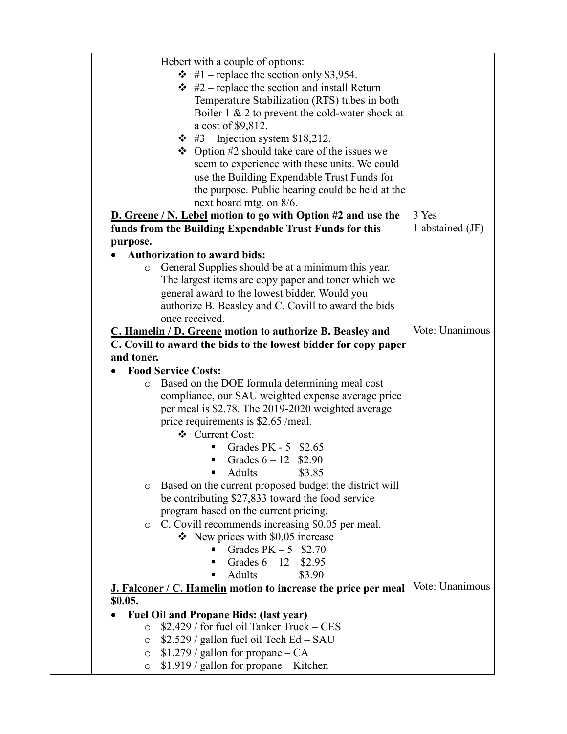| Hebert with a couple of options:                                                 |                  |  |
|----------------------------------------------------------------------------------|------------------|--|
| $\div$ #1 – replace the section only \$3,954.                                    |                  |  |
| $\div$ #2 – replace the section and install Return                               |                  |  |
| Temperature Stabilization (RTS) tubes in both                                    |                  |  |
| Boiler $1 \& 2$ to prevent the cold-water shock at                               |                  |  |
| a cost of \$9,812.                                                               |                  |  |
| $\div$ #3 – Injection system \$18,212.                                           |                  |  |
| $\div$ Option #2 should take care of the issues we                               |                  |  |
| seem to experience with these units. We could                                    |                  |  |
| use the Building Expendable Trust Funds for                                      |                  |  |
| the purpose. Public hearing could be held at the                                 |                  |  |
| next board mtg. on 8/6.                                                          |                  |  |
| D. Greene / N. Lebel motion to go with Option #2 and use the                     | 3 Yes            |  |
| funds from the Building Expendable Trust Funds for this                          | 1 abstained (JF) |  |
| purpose.                                                                         |                  |  |
| <b>Authorization to award bids:</b>                                              |                  |  |
| General Supplies should be at a minimum this year.<br>$\circ$                    |                  |  |
| The largest items are copy paper and toner which we                              |                  |  |
| general award to the lowest bidder. Would you                                    |                  |  |
| authorize B. Beasley and C. Covill to award the bids<br>once received.           |                  |  |
| C. Hamelin / D. Greene motion to authorize B. Beasley and                        | Vote: Unanimous  |  |
| C. Covill to award the bids to the lowest bidder for copy paper                  |                  |  |
| and toner.                                                                       |                  |  |
| <b>Food Service Costs:</b>                                                       |                  |  |
| Based on the DOE formula determining meal cost<br>$\circ$                        |                  |  |
| compliance, our SAU weighted expense average price                               |                  |  |
| per meal is \$2.78. The 2019-2020 weighted average                               |                  |  |
| price requirements is \$2.65 /meal.                                              |                  |  |
| ❖ Current Cost:                                                                  |                  |  |
| Grades PK - 5 \$2.65                                                             |                  |  |
| Grades $6 - 12$ \$2.90<br>٠                                                      |                  |  |
| Adults<br>\$3.85                                                                 |                  |  |
| Based on the current proposed budget the district will<br>O                      |                  |  |
| be contributing \$27,833 toward the food service                                 |                  |  |
| program based on the current pricing.                                            |                  |  |
| C. Covill recommends increasing \$0.05 per meal.<br>$\circ$                      |                  |  |
| $\div$ New prices with \$0.05 increase                                           |                  |  |
| Grades $PK-5$ \$2.70                                                             |                  |  |
| Grades $6 - 12$ \$2.95                                                           |                  |  |
| Adults<br>\$3.90                                                                 | Vote: Unanimous  |  |
| <b>J. Falconer / C. Hamelin motion to increase the price per meal</b><br>\$0.05. |                  |  |
| <b>Fuel Oil and Propane Bids: (last year)</b>                                    |                  |  |
| \$2.429 / for fuel oil Tanker Truck – CES<br>$\circ$                             |                  |  |
| $$2.529 /$ gallon fuel oil Tech Ed – SAU<br>O                                    |                  |  |
| $$1.279 /$ gallon for propane – CA<br>$\circ$                                    |                  |  |
| \$1.919 / gallon for propane - Kitchen<br>$\circ$                                |                  |  |
|                                                                                  |                  |  |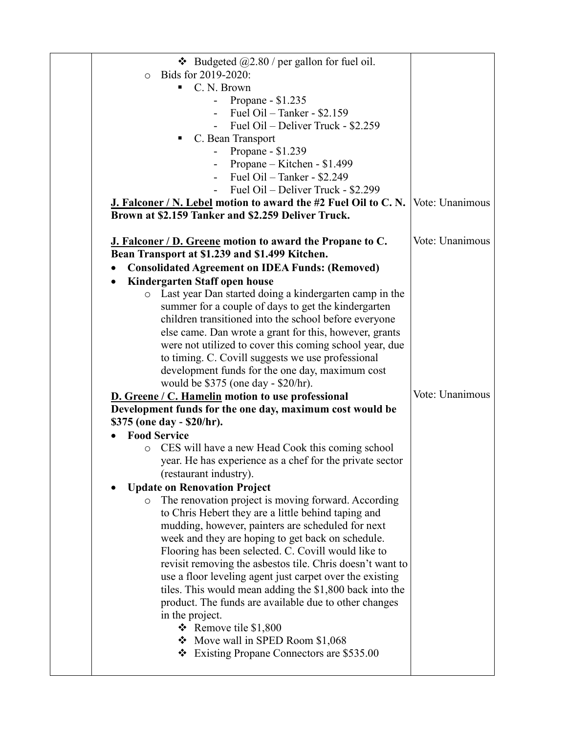| <b>↓</b> Budgeted $@2.80$ / per gallon for fuel oil.                                                                  |                 |
|-----------------------------------------------------------------------------------------------------------------------|-----------------|
| Bids for 2019-2020:<br>$\circ$                                                                                        |                 |
| $\blacksquare$ C. N. Brown                                                                                            |                 |
| Propane - \$1.235                                                                                                     |                 |
| Fuel Oil – Tanker - \$2.159                                                                                           |                 |
| Fuel Oil – Deliver Truck - \$2.259                                                                                    |                 |
| C. Bean Transport                                                                                                     |                 |
| Propane - \$1.239                                                                                                     |                 |
| Propane – Kitchen - \$1.499                                                                                           |                 |
| Fuel Oil – Tanker - \$2.249                                                                                           |                 |
| Fuel Oil – Deliver Truck - \$2.299                                                                                    |                 |
| J. Falconer / N. Lebel motion to award the #2 Fuel Oil to C. N.                                                       | Vote: Unanimous |
| Brown at \$2.159 Tanker and \$2.259 Deliver Truck.                                                                    |                 |
| J. Falconer / D. Greene motion to award the Propane to C.                                                             | Vote: Unanimous |
| Bean Transport at \$1.239 and \$1.499 Kitchen.                                                                        |                 |
| <b>Consolidated Agreement on IDEA Funds: (Removed)</b>                                                                |                 |
| Kindergarten Staff open house                                                                                         |                 |
| o Last year Dan started doing a kindergarten camp in the                                                              |                 |
| summer for a couple of days to get the kindergarten                                                                   |                 |
| children transitioned into the school before everyone                                                                 |                 |
| else came. Dan wrote a grant for this, however, grants                                                                |                 |
| were not utilized to cover this coming school year, due                                                               |                 |
| to timing. C. Covill suggests we use professional                                                                     |                 |
| development funds for the one day, maximum cost                                                                       |                 |
| would be $$375$ (one day - $$20/hr$ ).                                                                                |                 |
| D. Greene / C. Hamelin motion to use professional                                                                     | Vote: Unanimous |
| Development funds for the one day, maximum cost would be                                                              |                 |
| \$375 (one day - \$20/hr).                                                                                            |                 |
| <b>Food Service</b>                                                                                                   |                 |
| o CES will have a new Head Cook this coming school                                                                    |                 |
| year. He has experience as a chef for the private sector                                                              |                 |
|                                                                                                                       |                 |
|                                                                                                                       |                 |
| (restaurant industry).                                                                                                |                 |
| <b>Update on Renovation Project</b><br>O                                                                              |                 |
| The renovation project is moving forward. According                                                                   |                 |
| to Chris Hebert they are a little behind taping and                                                                   |                 |
| mudding, however, painters are scheduled for next                                                                     |                 |
| week and they are hoping to get back on schedule.                                                                     |                 |
| Flooring has been selected. C. Covill would like to                                                                   |                 |
| revisit removing the asbestos tile. Chris doesn't want to<br>use a floor leveling agent just carpet over the existing |                 |
| tiles. This would mean adding the \$1,800 back into the                                                               |                 |
| product. The funds are available due to other changes                                                                 |                 |
| in the project.                                                                                                       |                 |
| $\div$ Remove tile \$1,800                                                                                            |                 |
| • Move wall in SPED Room \$1,068                                                                                      |                 |
| $\div$ Existing Propane Connectors are \$535.00                                                                       |                 |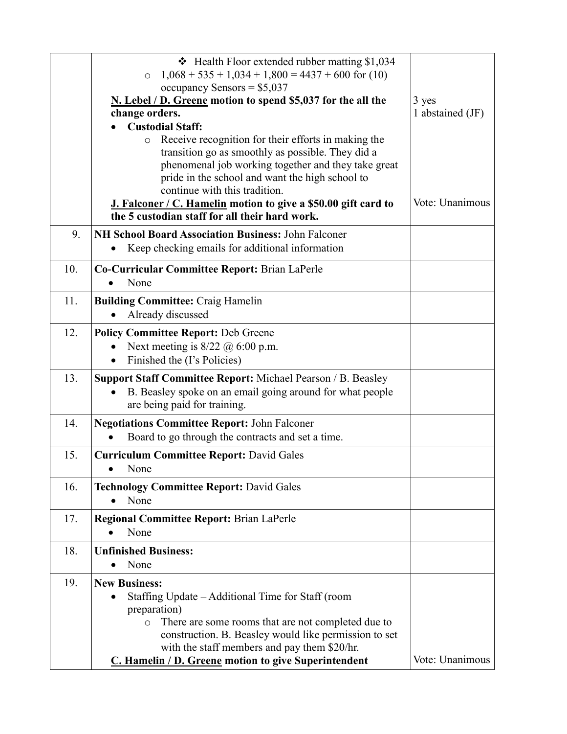|     | $\div$ Health Floor extended rubber matting \$1,034<br>$1,068 + 535 + 1,034 + 1,800 = 4437 + 600$ for (10)<br>$\circ$<br>occupancy Sensors = $$5,037$                                                                                                               |                  |
|-----|---------------------------------------------------------------------------------------------------------------------------------------------------------------------------------------------------------------------------------------------------------------------|------------------|
|     | N. Lebel / D. Greene motion to spend \$5,037 for the all the                                                                                                                                                                                                        | 3 yes            |
|     | change orders.<br><b>Custodial Staff:</b>                                                                                                                                                                                                                           | 1 abstained (JF) |
|     | Receive recognition for their efforts in making the<br>$\circ$<br>transition go as smoothly as possible. They did a<br>phenomenal job working together and they take great<br>pride in the school and want the high school to<br>continue with this tradition.      |                  |
|     | J. Falconer / C. Hamelin motion to give a \$50.00 gift card to<br>the 5 custodian staff for all their hard work.                                                                                                                                                    | Vote: Unanimous  |
| 9.  | <b>NH School Board Association Business: John Falconer</b><br>Keep checking emails for additional information                                                                                                                                                       |                  |
| 10. | Co-Curricular Committee Report: Brian LaPerle<br>None                                                                                                                                                                                                               |                  |
| 11. | <b>Building Committee: Craig Hamelin</b><br>Already discussed                                                                                                                                                                                                       |                  |
| 12. | <b>Policy Committee Report: Deb Greene</b><br>Next meeting is $8/22$ @ 6:00 p.m.                                                                                                                                                                                    |                  |
|     | Finished the (I's Policies)<br>$\bullet$                                                                                                                                                                                                                            |                  |
| 13. | <b>Support Staff Committee Report:</b> Michael Pearson / B. Beasley<br>B. Beasley spoke on an email going around for what people<br>are being paid for training.                                                                                                    |                  |
| 14. | <b>Negotiations Committee Report: John Falconer</b><br>Board to go through the contracts and set a time.                                                                                                                                                            |                  |
| 15. | <b>Curriculum Committee Report: David Gales</b><br>None<br>0                                                                                                                                                                                                        |                  |
| 16. | <b>Technology Committee Report: David Gales</b><br>None                                                                                                                                                                                                             |                  |
| 17. | <b>Regional Committee Report: Brian LaPerle</b><br>None<br>$\bullet$                                                                                                                                                                                                |                  |
| 18. | <b>Unfinished Business:</b><br>None<br>$\bullet$                                                                                                                                                                                                                    |                  |
| 19. | <b>New Business:</b><br>Staffing Update - Additional Time for Staff (room<br>preparation)<br>There are some rooms that are not completed due to<br>$\circ$<br>construction. B. Beasley would like permission to set<br>with the staff members and pay them \$20/hr. |                  |
|     | C. Hamelin / D. Greene motion to give Superintendent                                                                                                                                                                                                                | Vote: Unanimous  |